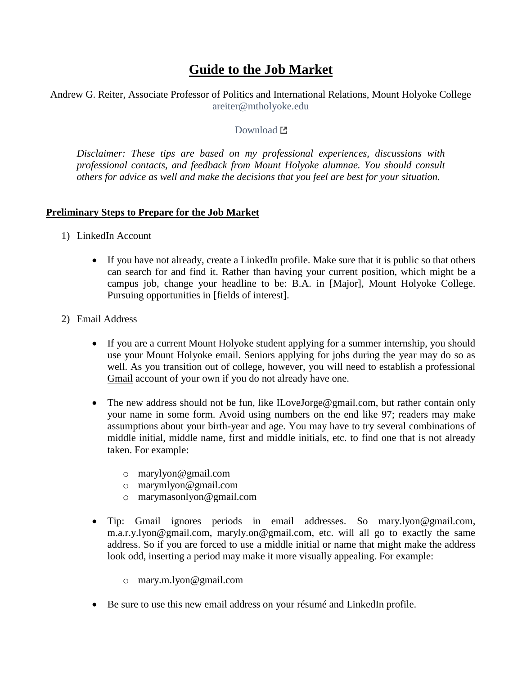# **Guide to the Job Market**

Andrew G. Reiter, Associate Professor of Politics and International Relations, Mount Holyoke College [areiter@mtholyoke.edu](mailto:areiter@mtholyoke.edu)

#### [Download](http://www.andyreiter.com/student-resources/) L

*Disclaimer: These tips are based on my professional experiences, discussions with professional contacts, and feedback from Mount Holyoke alumnae. You should consult others for advice as well and make the decisions that you feel are best for your situation.*

#### **Preliminary Steps to Prepare for the Job Market**

- 1) LinkedIn Account
	- If you have not already, create a LinkedIn profile. Make sure that it is public so that others can search for and find it. Rather than having your current position, which might be a campus job, change your headline to be: B.A. in [Major], Mount Holyoke College. Pursuing opportunities in [fields of interest].
- 2) Email Address
	- If you are a current Mount Holyoke student applying for a summer internship, you should use your Mount Holyoke email. Seniors applying for jobs during the year may do so as well. As you transition out of college, however, you will need to establish a professional Gmail account of your own if you do not already have one.
	- The new address should not be fun, like ILoveJorge@gmail.com, but rather contain only your name in some form. Avoid using numbers on the end like 97; readers may make assumptions about your birth-year and age. You may have to try several combinations of middle initial, middle name, first and middle initials, etc. to find one that is not already taken. For example:
		- o marylyon@gmail.com
		- o marymlyon@gmail.com
		- o marymasonlyon@gmail.com
	- Tip: Gmail ignores periods in email addresses. So mary.lyon@gmail.com, m.a.r.y.lyon@gmail.com, maryly.on@gmail.com, etc. will all go to exactly the same address. So if you are forced to use a middle initial or name that might make the address look odd, inserting a period may make it more visually appealing. For example:
		- o mary.m.lyon@gmail.com
	- Be sure to use this new email address on your résumé and LinkedIn profile.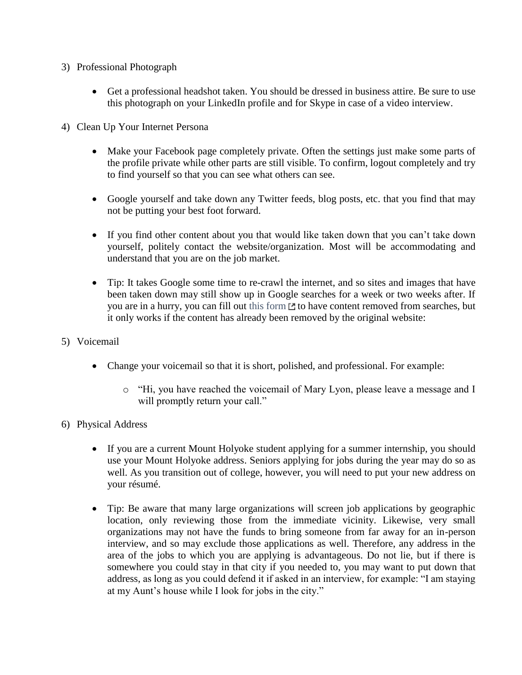- 3) Professional Photograph
	- Get a professional headshot taken. You should be dressed in business attire. Be sure to use this photograph on your LinkedIn profile and for Skype in case of a video interview.
- 4) Clean Up Your Internet Persona
	- Make your Facebook page completely private. Often the settings just make some parts of the profile private while other parts are still visible. To confirm, logout completely and try to find yourself so that you can see what others can see.
	- Google yourself and take down any Twitter feeds, blog posts, etc. that you find that may not be putting your best foot forward.
	- If you find other content about you that would like taken down that you can't take down yourself, politely contact the website/organization. Most will be accommodating and understand that you are on the job market.
	- Tip: It takes Google some time to re-crawl the internet, and so sites and images that have been taken down may still show up in Google searches for a week or two weeks after. If you are in a hurry, you can fill out [this form](https://support.google.com/websearch/answer/6349986?hl=en)  $\Xi$  to have content removed from searches, but it only works if the content has already been removed by the original website:
- 5) Voicemail
	- Change your voicemail so that it is short, polished, and professional. For example:
		- o "Hi, you have reached the voicemail of Mary Lyon, please leave a message and I will promptly return your call."
- 6) Physical Address
	- If you are a current Mount Holyoke student applying for a summer internship, you should use your Mount Holyoke address. Seniors applying for jobs during the year may do so as well. As you transition out of college, however, you will need to put your new address on your résumé.
	- Tip: Be aware that many large organizations will screen job applications by geographic location, only reviewing those from the immediate vicinity. Likewise, very small organizations may not have the funds to bring someone from far away for an in-person interview, and so may exclude those applications as well. Therefore, any address in the area of the jobs to which you are applying is advantageous. Do not lie, but if there is somewhere you could stay in that city if you needed to, you may want to put down that address, as long as you could defend it if asked in an interview, for example: "I am staying at my Aunt's house while I look for jobs in the city."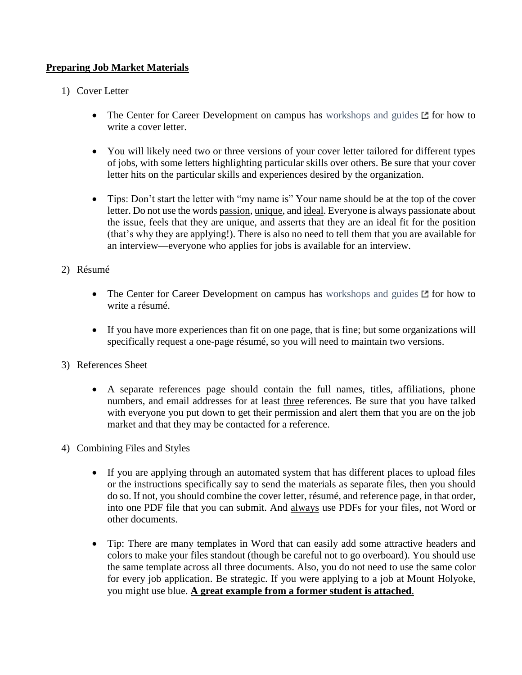# **Preparing Job Market Materials**

- 1) Cover Letter
	- The Center for Career Development on campus has [workshops and](https://www.mtholyoke.edu/cdc/cover-letter-guide) guides  $E$  for how to write a cover letter.
	- You will likely need two or three versions of your cover letter tailored for different types of jobs, with some letters highlighting particular skills over others. Be sure that your cover letter hits on the particular skills and experiences desired by the organization.
	- Tips: Don't start the letter with "my name is" Your name should be at the top of the cover letter. Do not use the words passion, unique, and ideal. Everyone is always passionate about the issue, feels that they are unique, and asserts that they are an ideal fit for the position (that's why they are applying!). There is also no need to tell them that you are available for an interview—everyone who applies for jobs is available for an interview.
- 2) Résumé
	- The Center for Career Development on campus has [workshops and guides](https://www.mtholyoke.edu/cdc/resume-guide)  $\mathbb E$  for how to write a résumé.
	- If you have more experiences than fit on one page, that is fine; but some organizations will specifically request a one-page résumé, so you will need to maintain two versions.
- 3) References Sheet
	- A separate references page should contain the full names, titles, affiliations, phone numbers, and email addresses for at least three references. Be sure that you have talked with everyone you put down to get their permission and alert them that you are on the job market and that they may be contacted for a reference.
- 4) Combining Files and Styles
	- If you are applying through an automated system that has different places to upload files or the instructions specifically say to send the materials as separate files, then you should do so. If not, you should combine the cover letter, résumé, and reference page, in that order, into one PDF file that you can submit. And always use PDFs for your files, not Word or other documents.
	- Tip: There are many templates in Word that can easily add some attractive headers and colors to make your files standout (though be careful not to go overboard). You should use the same template across all three documents. Also, you do not need to use the same color for every job application. Be strategic. If you were applying to a job at Mount Holyoke, you might use blue. **A great example from a former student is attached**.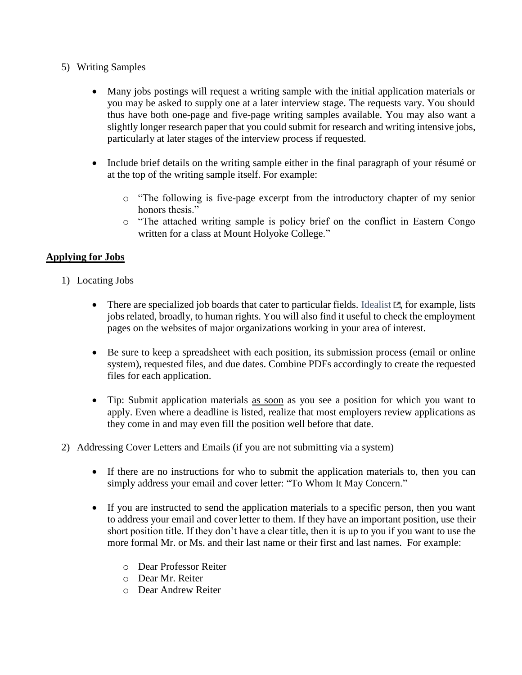- 5) Writing Samples
	- Many jobs postings will request a writing sample with the initial application materials or you may be asked to supply one at a later interview stage. The requests vary. You should thus have both one-page and five-page writing samples available. You may also want a slightly longer research paper that you could submit for research and writing intensive jobs, particularly at later stages of the interview process if requested.
	- Include brief details on the writing sample either in the final paragraph of your résumé or at the top of the writing sample itself. For example:
		- o "The following is five-page excerpt from the introductory chapter of my senior honors thesis."
		- o "The attached writing sample is policy brief on the conflict in Eastern Congo written for a class at Mount Holyoke College."

# **Applying for Jobs**

- 1) Locating Jobs
	- There are specialized job boards that cater to particular fields. [Idealist](https://www.idealist.org/en/?type=JOB)  $E$ , for example, lists jobs related, broadly, to human rights. You will also find it useful to check the employment pages on the websites of major organizations working in your area of interest.
	- Be sure to keep a spreadsheet with each position, its submission process (email or online system), requested files, and due dates. Combine PDFs accordingly to create the requested files for each application.
	- Tip: Submit application materials as soon as you see a position for which you want to apply. Even where a deadline is listed, realize that most employers review applications as they come in and may even fill the position well before that date.
- 2) Addressing Cover Letters and Emails (if you are not submitting via a system)
	- If there are no instructions for who to submit the application materials to, then you can simply address your email and cover letter: "To Whom It May Concern."
	- If you are instructed to send the application materials to a specific person, then you want to address your email and cover letter to them. If they have an important position, use their short position title. If they don't have a clear title, then it is up to you if you want to use the more formal Mr. or Ms. and their last name or their first and last names. For example:
		- o Dear Professor Reiter
		- o Dear Mr. Reiter
		- o Dear Andrew Reiter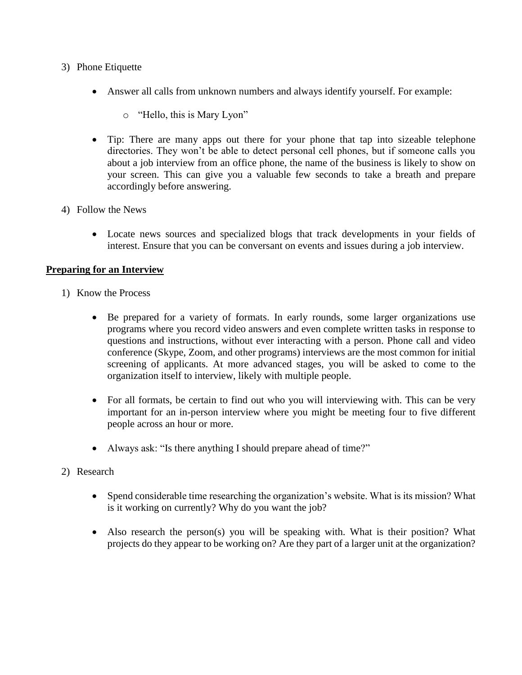- 3) Phone Etiquette
	- Answer all calls from unknown numbers and always identify yourself. For example:
		- o "Hello, this is Mary Lyon"
	- Tip: There are many apps out there for your phone that tap into sizeable telephone directories. They won't be able to detect personal cell phones, but if someone calls you about a job interview from an office phone, the name of the business is likely to show on your screen. This can give you a valuable few seconds to take a breath and prepare accordingly before answering.
- 4) Follow the News
	- Locate news sources and specialized blogs that track developments in your fields of interest. Ensure that you can be conversant on events and issues during a job interview.

## **Preparing for an Interview**

- 1) Know the Process
	- Be prepared for a variety of formats. In early rounds, some larger organizations use programs where you record video answers and even complete written tasks in response to questions and instructions, without ever interacting with a person. Phone call and video conference (Skype, Zoom, and other programs) interviews are the most common for initial screening of applicants. At more advanced stages, you will be asked to come to the organization itself to interview, likely with multiple people.
	- For all formats, be certain to find out who you will interviewing with. This can be very important for an in-person interview where you might be meeting four to five different people across an hour or more.
	- Always ask: "Is there anything I should prepare ahead of time?"
- 2) Research
	- Spend considerable time researching the organization's website. What is its mission? What is it working on currently? Why do you want the job?
	- Also research the person(s) you will be speaking with. What is their position? What projects do they appear to be working on? Are they part of a larger unit at the organization?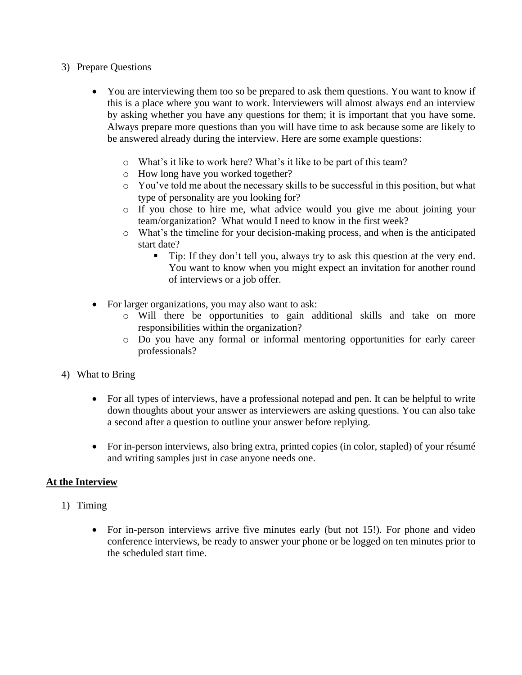- 3) Prepare Questions
	- You are interviewing them too so be prepared to ask them questions. You want to know if this is a place where you want to work. Interviewers will almost always end an interview by asking whether you have any questions for them; it is important that you have some. Always prepare more questions than you will have time to ask because some are likely to be answered already during the interview. Here are some example questions:
		- o What's it like to work here? What's it like to be part of this team?
		- o How long have you worked together?
		- o You've told me about the necessary skills to be successful in this position, but what type of personality are you looking for?
		- o If you chose to hire me, what advice would you give me about joining your team/organization? What would I need to know in the first week?
		- o What's the timeline for your decision-making process, and when is the anticipated start date?
			- Tip: If they don't tell you, always try to ask this question at the very end. You want to know when you might expect an invitation for another round of interviews or a job offer.
	- For larger organizations, you may also want to ask:
		- o Will there be opportunities to gain additional skills and take on more responsibilities within the organization?
		- o Do you have any formal or informal mentoring opportunities for early career professionals?
- 4) What to Bring
	- For all types of interviews, have a professional notepad and pen. It can be helpful to write down thoughts about your answer as interviewers are asking questions. You can also take a second after a question to outline your answer before replying.
	- For in-person interviews, also bring extra, printed copies (in color, stapled) of your résumé and writing samples just in case anyone needs one.

## **At the Interview**

- 1) Timing
	- For in-person interviews arrive five minutes early (but not 15!). For phone and video conference interviews, be ready to answer your phone or be logged on ten minutes prior to the scheduled start time.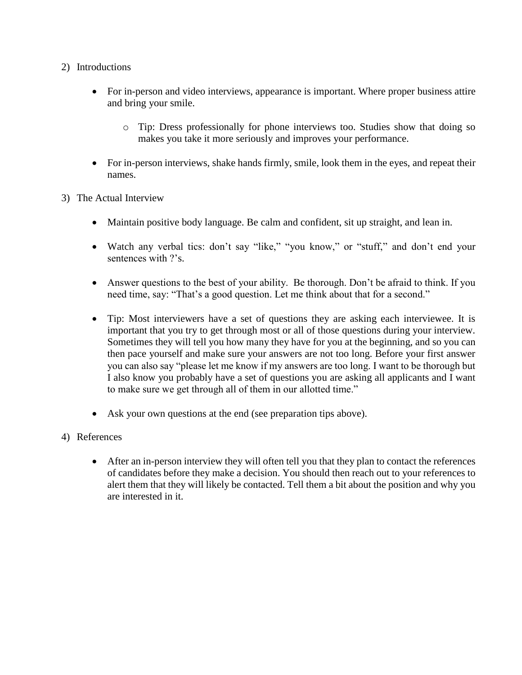- 2) Introductions
	- For in-person and video interviews, appearance is important. Where proper business attire and bring your smile.
		- o Tip: Dress professionally for phone interviews too. Studies show that doing so makes you take it more seriously and improves your performance.
	- For in-person interviews, shake hands firmly, smile, look them in the eyes, and repeat their names.
- 3) The Actual Interview
	- Maintain positive body language. Be calm and confident, sit up straight, and lean in.
	- Watch any verbal tics: don't say "like," "you know," or "stuff," and don't end your sentences with ?'s.
	- Answer questions to the best of your ability. Be thorough. Don't be afraid to think. If you need time, say: "That's a good question. Let me think about that for a second."
	- Tip: Most interviewers have a set of questions they are asking each interviewee. It is important that you try to get through most or all of those questions during your interview. Sometimes they will tell you how many they have for you at the beginning, and so you can then pace yourself and make sure your answers are not too long. Before your first answer you can also say "please let me know if my answers are too long. I want to be thorough but I also know you probably have a set of questions you are asking all applicants and I want to make sure we get through all of them in our allotted time."
	- Ask your own questions at the end (see preparation tips above).
- 4) References
	- After an in-person interview they will often tell you that they plan to contact the references of candidates before they make a decision. You should then reach out to your references to alert them that they will likely be contacted. Tell them a bit about the position and why you are interested in it.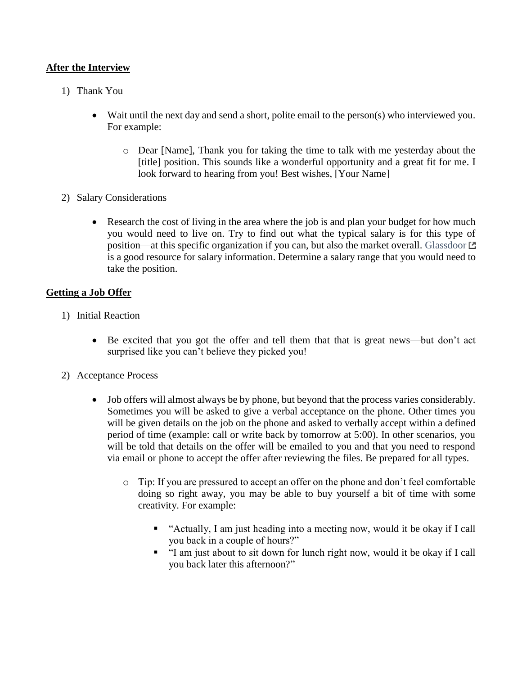## **After the Interview**

- 1) Thank You
	- Wait until the next day and send a short, polite email to the person(s) who interviewed you. For example:
		- o Dear [Name], Thank you for taking the time to talk with me yesterday about the [title] position. This sounds like a wonderful opportunity and a great fit for me. I look forward to hearing from you! Best wishes, [Your Name]
- 2) Salary Considerations
	- Research the cost of living in the area where the job is and plan your budget for how much you would need to live on. Try to find out what the typical salary is for this type of position—at this specific organization if you can, but also the market overall. [Glassdoor](https://www.glassdoor.com/Salaries/index.htm) is a good resource for salary information. Determine a salary range that you would need to take the position.

# **Getting a Job Offer**

- 1) Initial Reaction
	- Be excited that you got the offer and tell them that that is great news—but don't act surprised like you can't believe they picked you!
- 2) Acceptance Process
	- Job offers will almost always be by phone, but beyond that the process varies considerably. Sometimes you will be asked to give a verbal acceptance on the phone. Other times you will be given details on the job on the phone and asked to verbally accept within a defined period of time (example: call or write back by tomorrow at 5:00). In other scenarios, you will be told that details on the offer will be emailed to you and that you need to respond via email or phone to accept the offer after reviewing the files. Be prepared for all types.
		- o Tip: If you are pressured to accept an offer on the phone and don't feel comfortable doing so right away, you may be able to buy yourself a bit of time with some creativity. For example:
			- "Actually, I am just heading into a meeting now, would it be okay if I call you back in a couple of hours?"
			- "I am just about to sit down for lunch right now, would it be okay if I call you back later this afternoon?"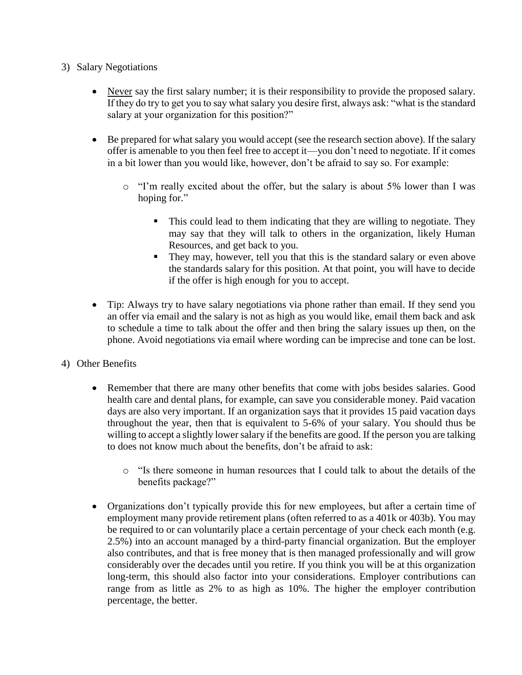- 3) Salary Negotiations
	- Never say the first salary number; it is their responsibility to provide the proposed salary. If they do try to get you to say what salary you desire first, always ask: "what is the standard salary at your organization for this position?"
	- Be prepared for what salary you would accept (see the research section above). If the salary offer is amenable to you then feel free to accept it—you don't need to negotiate. If it comes in a bit lower than you would like, however, don't be afraid to say so. For example:
		- o "I'm really excited about the offer, but the salary is about 5% lower than I was hoping for."
			- This could lead to them indicating that they are willing to negotiate. They may say that they will talk to others in the organization, likely Human Resources, and get back to you.
			- They may, however, tell you that this is the standard salary or even above the standards salary for this position. At that point, you will have to decide if the offer is high enough for you to accept.
	- Tip: Always try to have salary negotiations via phone rather than email. If they send you an offer via email and the salary is not as high as you would like, email them back and ask to schedule a time to talk about the offer and then bring the salary issues up then, on the phone. Avoid negotiations via email where wording can be imprecise and tone can be lost.
- 4) Other Benefits
	- Remember that there are many other benefits that come with jobs besides salaries. Good health care and dental plans, for example, can save you considerable money. Paid vacation days are also very important. If an organization says that it provides 15 paid vacation days throughout the year, then that is equivalent to 5-6% of your salary. You should thus be willing to accept a slightly lower salary if the benefits are good. If the person you are talking to does not know much about the benefits, don't be afraid to ask:
		- o "Is there someone in human resources that I could talk to about the details of the benefits package?"
	- Organizations don't typically provide this for new employees, but after a certain time of employment many provide retirement plans (often referred to as a 401k or 403b). You may be required to or can voluntarily place a certain percentage of your check each month (e.g. 2.5%) into an account managed by a third-party financial organization. But the employer also contributes, and that is free money that is then managed professionally and will grow considerably over the decades until you retire. If you think you will be at this organization long-term, this should also factor into your considerations. Employer contributions can range from as little as 2% to as high as 10%. The higher the employer contribution percentage, the better.